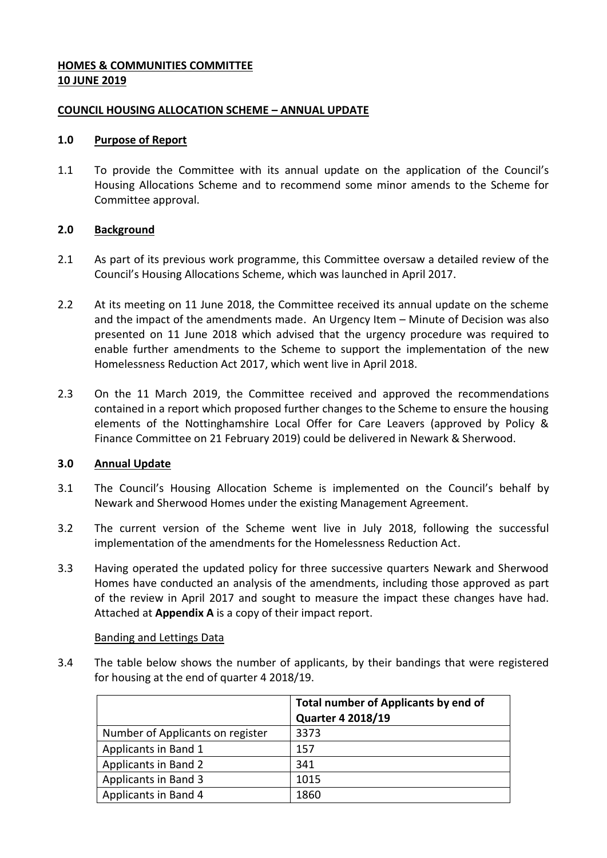### **HOMES & COMMUNITIES COMMITTEE 10 JUNE 2019**

### **COUNCIL HOUSING ALLOCATION SCHEME – ANNUAL UPDATE**

### **1.0 Purpose of Report**

1.1 To provide the Committee with its annual update on the application of the Council's Housing Allocations Scheme and to recommend some minor amends to the Scheme for Committee approval.

### **2.0 Background**

- 2.1 As part of its previous work programme, this Committee oversaw a detailed review of the Council's Housing Allocations Scheme, which was launched in April 2017.
- 2.2 At its meeting on 11 June 2018, the Committee received its annual update on the scheme and the impact of the amendments made. An Urgency Item – Minute of Decision was also presented on 11 June 2018 which advised that the urgency procedure was required to enable further amendments to the Scheme to support the implementation of the new Homelessness Reduction Act 2017, which went live in April 2018.
- 2.3 On the 11 March 2019, the Committee received and approved the recommendations contained in a report which proposed further changes to the Scheme to ensure the housing elements of the Nottinghamshire Local Offer for Care Leavers (approved by Policy & Finance Committee on 21 February 2019) could be delivered in Newark & Sherwood.

# **3.0 Annual Update**

- 3.1 The Council's Housing Allocation Scheme is implemented on the Council's behalf by Newark and Sherwood Homes under the existing Management Agreement.
- 3.2 The current version of the Scheme went live in July 2018, following the successful implementation of the amendments for the Homelessness Reduction Act.
- 3.3 Having operated the updated policy for three successive quarters Newark and Sherwood Homes have conducted an analysis of the amendments, including those approved as part of the review in April 2017 and sought to measure the impact these changes have had. Attached at **Appendix A** is a copy of their impact report.

### Banding and Lettings Data

3.4 The table below shows the number of applicants, by their bandings that were registered for housing at the end of quarter 4 2018/19.

|                                  | <b>Total number of Applicants by end of</b><br><b>Quarter 4 2018/19</b> |
|----------------------------------|-------------------------------------------------------------------------|
| Number of Applicants on register | 3373                                                                    |
| Applicants in Band 1             | 157                                                                     |
| Applicants in Band 2             | 341                                                                     |
| Applicants in Band 3             | 1015                                                                    |
| Applicants in Band 4             | 1860                                                                    |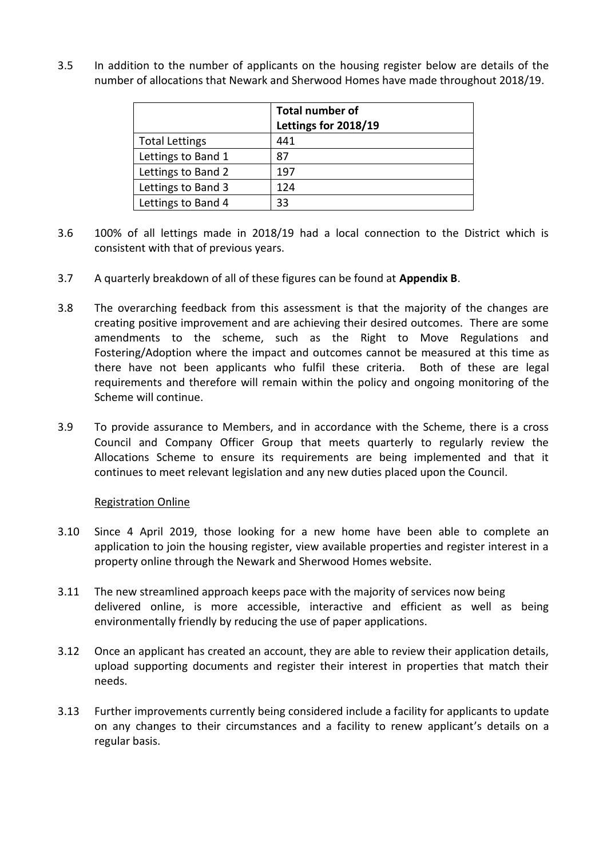3.5 In addition to the number of applicants on the housing register below are details of the number of allocations that Newark and Sherwood Homes have made throughout 2018/19.

|                       | <b>Total number of</b> |
|-----------------------|------------------------|
|                       | Lettings for 2018/19   |
| <b>Total Lettings</b> | 441                    |
| Lettings to Band 1    | 87                     |
| Lettings to Band 2    | 197                    |
| Lettings to Band 3    | 124                    |
| Lettings to Band 4    | 33                     |

- 3.6 100% of all lettings made in 2018/19 had a local connection to the District which is consistent with that of previous years.
- 3.7 A quarterly breakdown of all of these figures can be found at **Appendix B**.
- 3.8 The overarching feedback from this assessment is that the majority of the changes are creating positive improvement and are achieving their desired outcomes. There are some amendments to the scheme, such as the Right to Move Regulations and Fostering/Adoption where the impact and outcomes cannot be measured at this time as there have not been applicants who fulfil these criteria. Both of these are legal requirements and therefore will remain within the policy and ongoing monitoring of the Scheme will continue.
- 3.9 To provide assurance to Members, and in accordance with the Scheme, there is a cross Council and Company Officer Group that meets quarterly to regularly review the Allocations Scheme to ensure its requirements are being implemented and that it continues to meet relevant legislation and any new duties placed upon the Council.

### Registration Online

- 3.10 Since 4 April 2019, those looking for a new home have been able to complete an application to join the housing register, view available properties and register interest in a property online through the Newark and Sherwood Homes website.
- 3.11 The new streamlined approach keeps pace with the majority of services now being delivered online, is more accessible, interactive and efficient as well as being environmentally friendly by reducing the use of paper applications.
- 3.12 Once an applicant has created an account, they are able to review their application details, upload supporting documents and register their interest in properties that match their needs.
- 3.13 Further improvements currently being considered include a facility for applicants to update on any changes to their circumstances and a facility to renew applicant's details on a regular basis.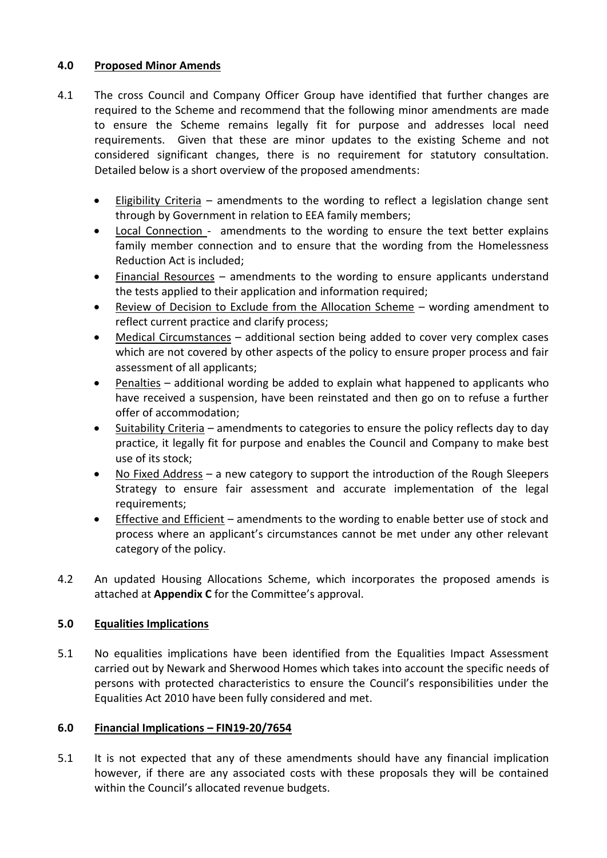# **4.0 Proposed Minor Amends**

- 4.1 The cross Council and Company Officer Group have identified that further changes are required to the Scheme and recommend that the following minor amendments are made to ensure the Scheme remains legally fit for purpose and addresses local need requirements. Given that these are minor updates to the existing Scheme and not considered significant changes, there is no requirement for statutory consultation. Detailed below is a short overview of the proposed amendments:
	- Eligibility Criteria amendments to the wording to reflect a legislation change sent through by Government in relation to EEA family members;
	- Local Connection amendments to the wording to ensure the text better explains family member connection and to ensure that the wording from the Homelessness Reduction Act is included;
	- Financial Resources amendments to the wording to ensure applicants understand the tests applied to their application and information required;
	- Review of Decision to Exclude from the Allocation Scheme wording amendment to reflect current practice and clarify process;
	- Medical Circumstances additional section being added to cover very complex cases which are not covered by other aspects of the policy to ensure proper process and fair assessment of all applicants;
	- Penalties additional wording be added to explain what happened to applicants who have received a suspension, have been reinstated and then go on to refuse a further offer of accommodation;
	- Suitability Criteria amendments to categories to ensure the policy reflects day to day practice, it legally fit for purpose and enables the Council and Company to make best use of its stock;
	- No Fixed Address a new category to support the introduction of the Rough Sleepers Strategy to ensure fair assessment and accurate implementation of the legal requirements;
	- Effective and Efficient amendments to the wording to enable better use of stock and process where an applicant's circumstances cannot be met under any other relevant category of the policy.
- 4.2 An updated Housing Allocations Scheme, which incorporates the proposed amends is attached at **Appendix C** for the Committee's approval.

# **5.0 Equalities Implications**

5.1 No equalities implications have been identified from the Equalities Impact Assessment carried out by Newark and Sherwood Homes which takes into account the specific needs of persons with protected characteristics to ensure the Council's responsibilities under the Equalities Act 2010 have been fully considered and met.

# **6.0 Financial Implications – FIN19-20/7654**

5.1 It is not expected that any of these amendments should have any financial implication however, if there are any associated costs with these proposals they will be contained within the Council's allocated revenue budgets.